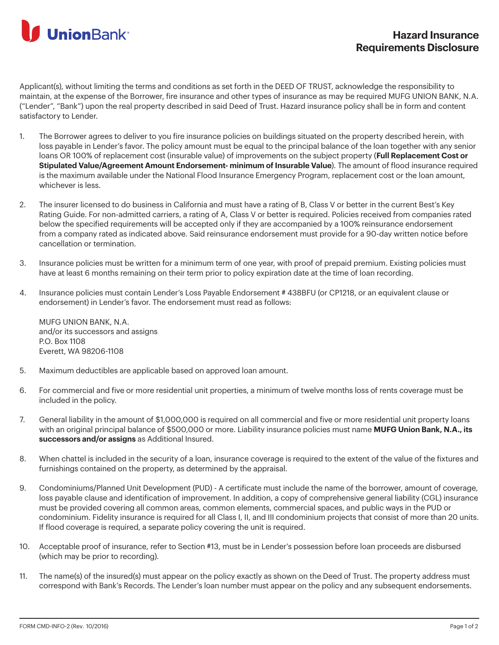

Applicant(s), without limiting the terms and conditions as set forth in the DEED OF TRUST, acknowledge the responsibility to maintain, at the expense of the Borrower, fire insurance and other types of insurance as may be required MUFG UNION BANK, N.A. ("Lender", "Bank") upon the real property described in said Deed of Trust. Hazard insurance policy shall be in form and content satisfactory to Lender.

- 1. The Borrower agrees to deliver to you fire insurance policies on buildings situated on the property described herein, with loss payable in Lender's favor. The policy amount must be equal to the principal balance of the loan together with any senior loans OR 100% of replacement cost (insurable value) of improvements on the subject property (**Full Replacement Cost or Stipulated Value/Agreement Amount Endorsement- minimum of Insurable Value**). The amount of flood insurance required is the maximum available under the National Flood Insurance Emergency Program, replacement cost or the loan amount, whichever is less.
- 2. The insurer licensed to do business in California and must have a rating of B, Class V or better in the current Best's Key Rating Guide. For non-admitted carriers, a rating of A, Class V or better is required. Policies received from companies rated below the specified requirements will be accepted only if they are accompanied by a 100% reinsurance endorsement from a company rated as indicated above. Said reinsurance endorsement must provide for a 90-day written notice before cancellation or termination.
- 3. Insurance policies must be written for a minimum term of one year, with proof of prepaid premium. Existing policies must have at least 6 months remaining on their term prior to policy expiration date at the time of loan recording.
- 4. Insurance policies must contain Lender's Loss Payable Endorsement # 438BFU (or CP1218, or an equivalent clause or endorsement) in Lender's favor. The endorsement must read as follows:

MUFG UNION BANK, N.A. and/or its successors and assigns P.O. Box 1108 Everett, WA 98206-1108

- 5. Maximum deductibles are applicable based on approved loan amount.
- 6. For commercial and five or more residential unit properties, a minimum of twelve months loss of rents coverage must be included in the policy.
- 7. General liability in the amount of \$1,000,000 is required on all commercial and five or more residential unit property loans with an original principal balance of \$500,000 or more. Liability insurance policies must name **MUFG Union Bank, N.A., its successors and/or assigns** as Additional Insured.
- 8. When chattel is included in the security of a loan, insurance coverage is required to the extent of the value of the fixtures and furnishings contained on the property, as determined by the appraisal.
- 9. Condominiums/Planned Unit Development (PUD) A certificate must include the name of the borrower, amount of coverage, loss payable clause and identification of improvement. In addition, a copy of comprehensive general liability (CGL) insurance must be provided covering all common areas, common elements, commercial spaces, and public ways in the PUD or condominium. Fidelity insurance is required for all Class I, II, and III condominium projects that consist of more than 20 units. If flood coverage is required, a separate policy covering the unit is required.
- 10. Acceptable proof of insurance, refer to Section #13, must be in Lender's possession before loan proceeds are disbursed (which may be prior to recording).
- 11. The name(s) of the insured(s) must appear on the policy exactly as shown on the Deed of Trust. The property address must correspond with Bank's Records. The Lender's loan number must appear on the policy and any subsequent endorsements.